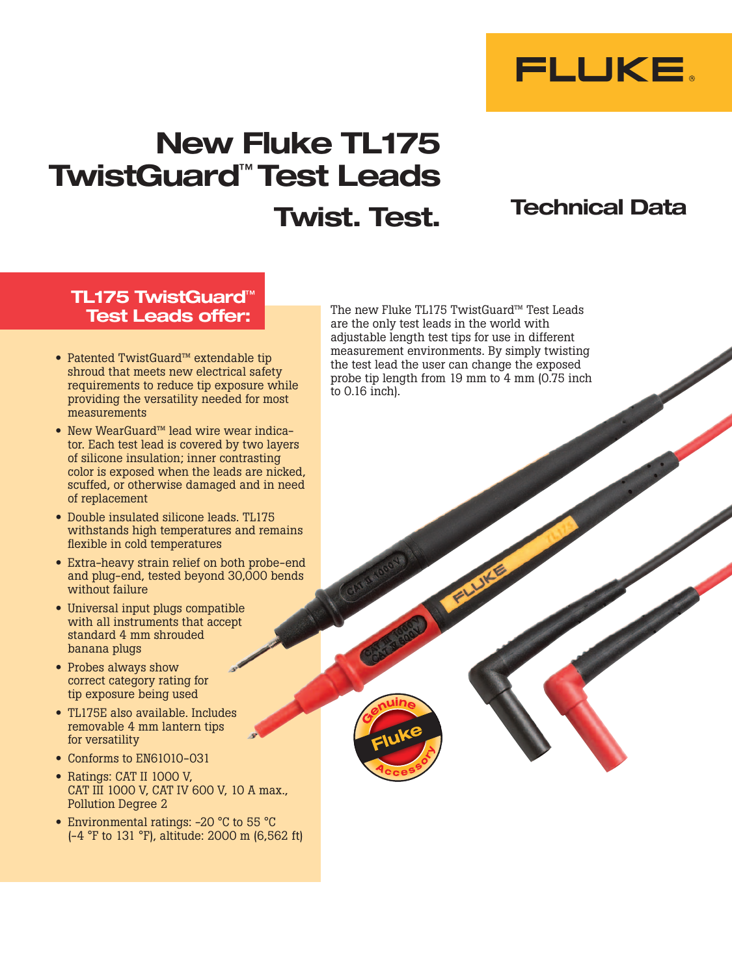

# New Fluke TL175 TwistGuard™ Test Leads Twist. Test.

## Technical Data

#### TL175 TwistGuard™ Test Leads offer:

- • Patented TwistGuard™ extendable tip shroud that meets new electrical safety requirements to reduce tip exposure while providing the versatility needed for most measurements
- New WearGuard™ lead wire wear indicator. Each test lead is covered by two layers of silicone insulation; inner contrasting color is exposed when the leads are nicked, scuffed, or otherwise damaged and in need of replacement
- • Double insulated silicone leads. TL175 withstands high temperatures and remains flexible in cold temperatures
- Extra-heavy strain relief on both probe-end and plug-end, tested beyond 30,000 bends without failure
- Universal input plugs compatible with all instruments that accept standard 4 mm shrouded banana plugs
- Probes always show correct category rating for tip exposure being used
- • TL175E also available. Includes removable 4 mm lantern tips for versatility
- Conforms to EN61010-031
- Ratings: CAT II 1000 V. CAT III 1000 V, CAT IV 600 V, 10 A max., Pollution Degree 2
- Environmental ratings: -20 °C to 55 °C (-4 °F to 131 °F), altitude: 2000 m (6,562 ft)

The new Fluke TL175 TwistGuard™ Test Leads are the only test leads in the world with adjustable length test tips for use in different measurement environments. By simply twisting the test lead the user can change the exposed probe tip length from 19 mm to 4 mm (0.75 inch to 0.16 inch).